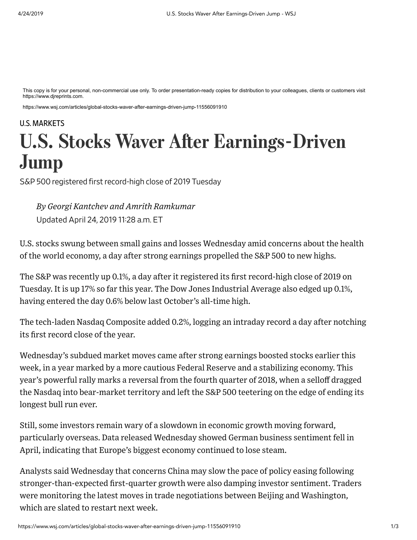This copy is for your personal, non-commercial use only. To order presentation-ready copies for distribution to your colleagues, clients or customers visit https://www.djreprints.com.

https://www.wsj.com/articles/global-stocks-waver-after-earnings-driven-jump-11556091910

## [U.S. MARKETS](https://www.wsj.com/news/types/today-s-markets) **U.S. Stocks Waver After Earnings-Driven** Jump

S&P 500 registered first record-high close of 2019 Tuesday

Updated April 24, 2019 1128 a.m. ET *By Georgi Kantchev and Amrith Ramkumar*

U.S. stocks swung between small gains and losses Wednesday amid concerns about the health of the world economy, a day after strong earnings propelled the S&P 500 to new highs.

The S&P was recently up 0.1%, a day after it registered its first [record-high close](https://www.wsj.com/articles/global-stocks-weaken-as-oil-prices-climb-11556006653?mod=article_inline) of 2019 on Tuesday. It is up 17% so far this year. The Dow Jones Industrial Average also edged up 0.1%, having entered the day 0.6% below last October's all-time high.

The tech-laden Nasdaq Composite added 0.2%, logging an intraday record a day after notching its first record close of the year.

Wednesday's subdued market moves came after strong earnings boosted stocks earlier this week, in a year marked by a more cautious Federal Reserve and a stabilizing economy. This year's powerful rally marks a reversal from the fourth quarter of 2018, when a selloff dragged the Nasdaq into bear-market territory and left the S&P 500 teetering on the edge of ending its longest bull run ever.

Still, some investors remain wary of a slowdown in economic growth moving forward, particularly overseas. Data released Wednesday showed German business sentiment fell in April, indicating that Europe's biggest economy continued to lose steam.

Analysts said Wednesday that concerns China may slow the pace of policy easing following [stronger-than-expected first-quarter growth](https://www.wsj.com/articles/china-growth-beats-expectations-thanks-to-humming-factories-11555469337?mod=article_inline) were also damping investor sentiment. Traders were monitoring the latest moves in trade negotiations between Beijing and Washington, which are slated to restart next week.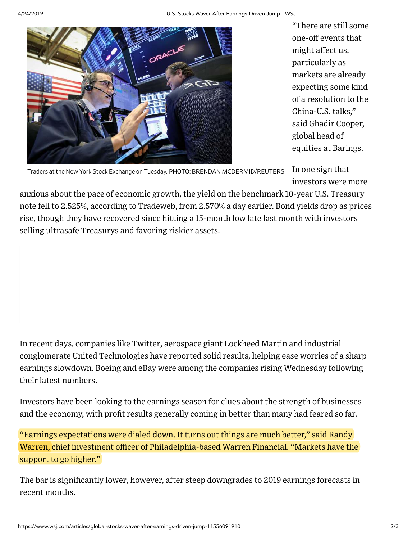

"There are still some one-off events that might affect us, particularly as markets are already expecting some kind of a resolution to the China-U.S. talks," said Ghadir Cooper, global head of equities at Barings.

Traders at the New York Stock Exchange on Tuesday. PHOTO: BRENDAN MCDERMID/REUTERS

In one sign that investors were more

anxious about the pace of economic growth, the yield on the benchmark 10-year U.S. Treasury note fell to 2.525%, according to Tradeweb, from 2.570% a day earlier. Bond yields drop as prices rise, though they have recovered since hitting a 15-month low late last month with investors selling ultrasafe Treasurys and favoring riskier assets.

In recent days, companies like [Twitter](https://www.wsj.com/articles/twitters-tweaks-boost-results-11556017253?mod=article_inline), aerospace giant [Lockheed Martin](https://www.wsj.com/articles/lockheed-martin-boosts-profit-guidance-11556021018?mod=article_inline) and industrial conglomerate [United Technologies](https://www.wsj.com/articles/united-technologies-raises-guidance-for-2019-11556018730?mod=article_inline) have reported solid results, helping ease worries of a sharp earnings slowdown. [Boeing](https://quotes.wsj.com/BA) and [eBay](https://quotes.wsj.com/EBAY) were among the companies rising Wednesday following their latest numbers.

Investors have been looking to the earnings season for clues about the strength of businesses and the economy, with profit results generally coming in better than many had feared so far.

"Earnings expectations were dialed down. It turns out things are much better," said Randy Warren, chief investment officer of Philadelphia-based Warren Financial. "Markets have the support to go higher."

The bar is [significantly lower,](https://www.wsj.com/articles/this-earnings-season-a-miss-hurts-even-more-11556107202?mod=article_inline) however, after steep downgrades to 2019 earnings forecasts in recent months.